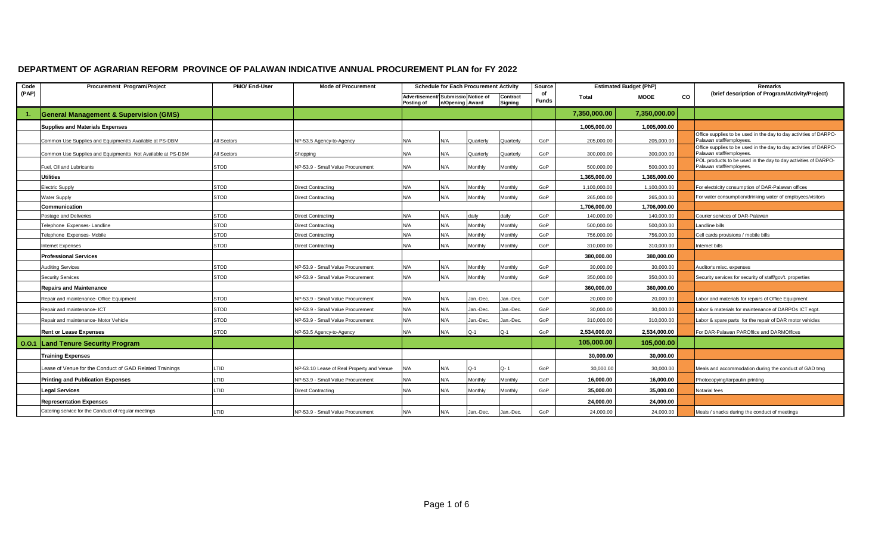## **DEPARTMENT OF AGRARIAN REFORM PROVINCE OF PALAWAN INDICATIVE ANNUAL PROCUREMENT PLAN for FY 2022**

| Code  | Procurement Program/Project                                 | PMO/ End-User | <b>Mode of Procurement</b>                | <b>Schedule for Each Procurement Activity</b>    |                 |           | Source              |                    | <b>Estimated Budget (PhP)</b> |              | <b>Remarks</b> |                                                                                              |
|-------|-------------------------------------------------------------|---------------|-------------------------------------------|--------------------------------------------------|-----------------|-----------|---------------------|--------------------|-------------------------------|--------------|----------------|----------------------------------------------------------------------------------------------|
| (PAP) |                                                             |               |                                           | Advertisement/ Submissio Notice of<br>Posting of | n/Opening Award |           | Contract<br>Signing | of<br><b>Funds</b> | <b>MOOE</b><br>Total          |              | CO             | (brief description of Program/Activity/Project)                                              |
|       | <b>General Management &amp; Supervision (GMS)</b>           |               |                                           |                                                  |                 |           |                     |                    | 7,350,000.00                  | 7,350,000.00 |                |                                                                                              |
|       |                                                             |               |                                           |                                                  |                 |           |                     |                    |                               |              |                |                                                                                              |
|       | <b>Supplies and Materials Expenses</b>                      |               |                                           |                                                  |                 |           |                     |                    | 1,005,000.00                  | 1,005,000.00 |                | Office supplies to be used in the day to day activities of DARPO-                            |
|       | Common Use Supplies and Equipmentts Available at PS-DBM     | All Sectors   | NP-53.5 Agency-to-Agency                  | N/A                                              | N/A             | Quarterly | Quarterly           | GoP                | 205,000.00                    | 205,000.00   |                | Palawan staff/employees                                                                      |
|       | Common Use Supplies and Equipmentts Not Available at PS-DBM | All Sectors   | Shopping                                  | N/A                                              | N/A             | Quarterly | Quarterly           | GoP                | 300,000.00                    | 300,000.00   |                | Office supplies to be used in the day to day activities of DARPO-<br>Palawan staff/employees |
|       | Fuel. Oil and Lubricants                                    | <b>STOD</b>   | NP-53.9 - Small Value Procurement         | N/A                                              | N/A             | Monthly   | Monthly             | GoP                | 500.000.00                    | 500.000.00   |                | POL products to be used in the day to day activities of DARPO-<br>Palawan staff/employees.   |
|       | <b>Utilities</b>                                            |               |                                           |                                                  |                 |           |                     |                    | 1,365,000.00                  | 1,365,000.00 |                |                                                                                              |
|       | Electric Supply                                             | STOD          | Direct Contracting                        | N/A                                              | N/A             | Monthly   | Monthly             | GoP                | 1,100,000.00                  | 1,100,000.00 |                | For electricity consumption of DAR-Palawan offices                                           |
|       | <b>Nater Supply</b>                                         | STOD          | <b>Direct Contracting</b>                 | N/A                                              | N/A             | Monthly   | Monthly             | GoP                | 265,000.00                    | 265,000.00   |                | For water consumption/drinking water of employees/visitors                                   |
|       | Communication                                               |               |                                           |                                                  |                 |           |                     |                    | 1,706,000.00                  | 1,706,000.00 |                |                                                                                              |
|       | Postage and Deliveries                                      | <b>STOD</b>   | Direct Contracting                        | N/A                                              | N/A             | daily     | daily               | GoP                | 140,000.00                    | 140.000.00   |                | Courier services of DAR-Palawan                                                              |
|       | Telephone Expenses-Landline                                 | <b>STOD</b>   | Direct Contracting                        | N/A                                              | N/A             | Monthly   | Monthly             | GoP                | 500,000.00                    | 500,000.00   |                | Landline bills                                                                               |
|       | Telephone Expenses-Mobile                                   | <b>STOD</b>   | <b>Direct Contracting</b>                 | N/A                                              | N/A             | Monthly   | Monthly             | GoP                | 756,000.00                    | 756,000.00   |                | Cell cards provisions / mobile bills                                                         |
|       | nternet Expenses                                            | <b>STOD</b>   | Direct Contracting                        | N/A                                              | N/A             | Monthly   | Monthly             | GoP                | 310,000.00                    | 310,000.00   |                | Internet bills                                                                               |
|       | <b>Professional Services</b>                                |               |                                           |                                                  |                 |           |                     |                    | 380.000.00                    | 380.000.00   |                |                                                                                              |
|       | <b>Auditing Services</b>                                    | STOD          | NP-53.9 - Small Value Procurement         | N/A                                              | N/A             | Monthly   | Monthly             | GoP                | 30,000.00                     | 30,000.00    |                | Auditor's misc. expenses                                                                     |
|       | <b>Security Services</b>                                    | <b>STOD</b>   | NP-53.9 - Small Value Procurement         | N/A                                              | N/A             | Monthly   | Monthly             | GoP                | 350,000.00                    | 350,000.00   |                | Security services for security of staff/gov't. properties                                    |
|       | <b>Repairs and Maintenance</b>                              |               |                                           |                                                  |                 |           |                     |                    | 360,000.00                    | 360,000.00   |                |                                                                                              |
|       | Repair and maintenance- Office Equipment                    | <b>STOD</b>   | NP-53.9 - Small Value Procurement         | N/A                                              | N/A             | Jan.-Dec. | Jan.-Dec.           | GoP                | 20,000.00                     | 20,000.00    |                | Labor and materials for repairs of Office Equipment                                          |
|       | Repair and maintenance- ICT                                 | <b>STOD</b>   | NP-53.9 - Small Value Procurement         | N/A                                              | N/A             | Jan.-Dec. | Jan.-Dec.           | GoP                | 30,000.00                     | 30,000.00    |                | Labor & materials for maintenance of DARPOs ICT eqpt.                                        |
|       | Repair and maintenance- Motor Vehicle                       | <b>STOD</b>   | NP-53.9 - Small Value Procurement         | N/A                                              | N/A             | Jan.-Dec. | Jan.-Dec.           | GoP                | 310.000.00                    | 310,000.00   |                | Labor & spare parts for the repair of DAR motor vehicles                                     |
|       | <b>Rent or Lease Expenses</b>                               | <b>STOD</b>   | NP-53.5 Agency-to-Agency                  | N/A                                              | N/A             | $Q-1$     | $Q-1$               | GoP                | 2,534,000.00                  | 2,534,000.00 |                | For DAR-Palawan PAROffice and DARMOffices                                                    |
|       | 0.0.1 Land Tenure Security Program                          |               |                                           |                                                  |                 |           |                     |                    | 105,000.00                    | 105,000.00   |                |                                                                                              |
|       | <b>Training Expenses</b>                                    |               |                                           |                                                  |                 |           |                     |                    | 30.000.00                     | 30,000.00    |                |                                                                                              |
|       | Lease of Venue for the Conduct of GAD Related Trainings     | LTID          | NP-53.10 Lease of Real Property and Venue | N/A                                              | N/A             | $Q-1$     | Q-1                 | GoP                | 30,000.00                     | 30,000.00    |                | Meals and accommodation during the conduct of GAD trng                                       |
|       | <b>Printing and Publication Expenses</b>                    | LTID          | NP-53.9 - Small Value Procurement         | N/A                                              | N/A             | Monthly   | Monthly             | GoP                | 16,000.00                     | 16,000.00    |                | Photocopying/tarpaulin printing                                                              |
|       | <b>Legal Services</b>                                       | TID.          | <b>Direct Contracting</b>                 | N/A                                              | N/A             | Monthlv   | Monthly             | GoP                | 35,000.00                     | 35,000.00    |                | Notarial fees                                                                                |
|       | <b>Representation Expenses</b>                              |               |                                           |                                                  |                 |           |                     |                    | 24,000.00                     | 24,000.00    |                |                                                                                              |
|       | Catering service for the Conduct of regular meetings        | TID.          | NP-53.9 - Small Value Procurement         | N/A                                              | N/A             | Jan.-Dec. | Jan.-Dec.           | GoP                | 24,000.00                     | 24.000.00    |                | Meals / snacks during the conduct of meetings                                                |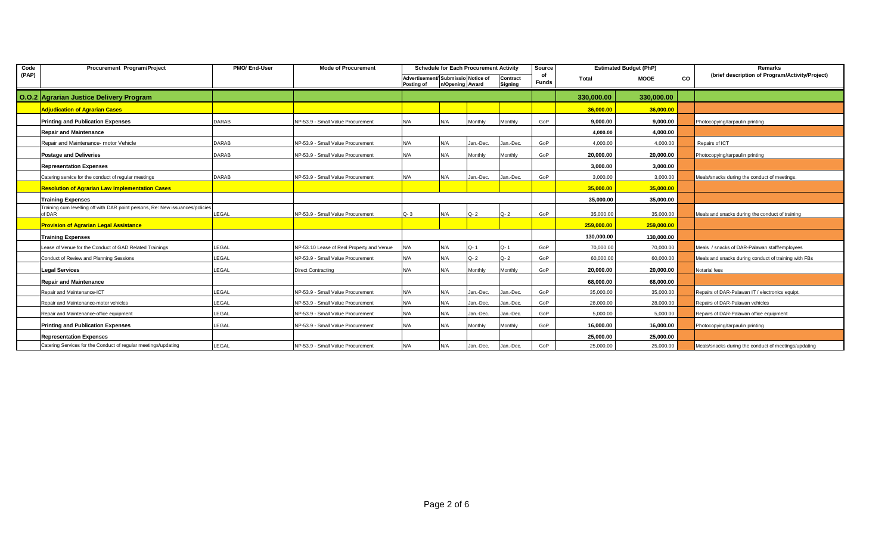| Code  | Procurement Program/Project                                                             | PMO/ End-User | <b>Schedule for Each Procurement Activity</b><br><b>Mode of Procurement</b> |                   |                                    |           |                | Source             | <b>Estimated Budget (PhP)</b> |             |    | Remarks                                              |
|-------|-----------------------------------------------------------------------------------------|---------------|-----------------------------------------------------------------------------|-------------------|------------------------------------|-----------|----------------|--------------------|-------------------------------|-------------|----|------------------------------------------------------|
| (PAP) |                                                                                         |               |                                                                             |                   | Advertisement/ Submissio Notice of |           | Contract       | οf<br><b>Funds</b> | Total                         | <b>MOOE</b> | CO | (brief description of Program/Activity/Project)      |
|       |                                                                                         |               |                                                                             | <b>Posting of</b> | n/Opening Award                    |           | Signing        |                    |                               |             |    |                                                      |
|       | O.O.2 Agrarian Justice Delivery Program                                                 |               |                                                                             |                   |                                    |           |                |                    | 330,000.00                    | 330,000.00  |    |                                                      |
|       | <b>Adjudication of Agrarian Cases</b>                                                   |               |                                                                             |                   |                                    |           |                |                    | 36,000.00                     | 36,000.00   |    |                                                      |
|       | <b>Printing and Publication Expenses</b>                                                | <b>DARAB</b>  | NP-53.9 - Small Value Procurement                                           | N/A               | N/A                                | Monthly   | Monthly        | GoP                | 9.000.00                      | 9,000.00    |    | Photocopying/tarpaulin printing                      |
|       | <b>Repair and Maintenance</b>                                                           |               |                                                                             |                   |                                    |           |                |                    | 4.000.00                      | 4,000.00    |    |                                                      |
|       | Repair and Maintenance- motor Vehicle                                                   | <b>DARAB</b>  | NP-53.9 - Small Value Procurement                                           | N/A               | N/A                                | Jan.-Dec. | Jan.-Dec.      | GoP                | 4,000.00                      | 4,000.00    |    | Repairs of ICT                                       |
|       | <b>Postage and Deliveries</b>                                                           | <b>DARAB</b>  | NP-53.9 - Small Value Procurement                                           | N/A               | N/A                                | Monthly   | Monthly        | GoP                | 20.000.00                     | 20,000.00   |    | Photocopying/tarpaulin printing                      |
|       | <b>Representation Expenses</b>                                                          |               |                                                                             |                   |                                    |           |                |                    | 3.000.00                      | 3,000.00    |    |                                                      |
|       | Catering service for the conduct of regular meetings                                    | <b>DARAB</b>  | NP-53.9 - Small Value Procurement                                           | N/A               | N/A                                | Jan.-Dec. | Jan.-Dec.      | GoP                | 3,000.00                      | 3,000.00    |    | Meals/snacks during the conduct of meetings.         |
|       | <b>Resolution of Agrarian Law Implementation Cases</b>                                  |               |                                                                             |                   |                                    |           |                |                    | 35,000.00                     | 35,000.00   |    |                                                      |
|       | <b>Training Expenses</b>                                                                |               |                                                                             |                   |                                    |           |                |                    | 35,000.00                     | 35,000.00   |    |                                                      |
|       | Training cum levelling off with DAR point persons, Re: New issuances/policies<br>of DAR | LEGAL         | NP-53.9 - Small Value Procurement                                           | $Q - 3$           | N/A                                | $Q - 2$   | $Q - 2$        | GoP                | 35,000.00                     | 35,000.00   |    | Meals and snacks during the conduct of training      |
|       | <b>Provision of Agrarian Legal Assistance</b>                                           |               |                                                                             |                   |                                    |           |                |                    | 259,000.00                    | 259.000.00  |    |                                                      |
|       | <b>Training Expenses</b>                                                                |               |                                                                             |                   |                                    |           |                |                    | 130,000.00                    | 130,000.00  |    |                                                      |
|       | Lease of Venue for the Conduct of GAD Related Trainings                                 | LEGAL         | NP-53.10 Lease of Real Property and Venue                                   | N/A               | N/A                                | $Q - 1$   | Q-1            | GoP                | 70,000.00                     | 70,000.00   |    | Meals / snacks of DAR-Palawan staff/employees        |
|       | Conduct of Review and Planning Sessions                                                 | LEGAL         | NP-53.9 - Small Value Procurement                                           | N/A               | N/A                                | $Q - 2$   | $Q - 2$        | GoP                | 60,000.00                     | 60,000.00   |    | Meals and snacks during conduct of training with FBs |
|       | <b>Legal Services</b>                                                                   | LEGAL         | <b>Direct Contracting</b>                                                   | N/A               | N/A                                | Monthly   | <b>Monthly</b> | GoP                | 20.000.00                     | 20,000.00   |    | Notarial fees                                        |
|       | Repair and Maintenance                                                                  |               |                                                                             |                   |                                    |           |                |                    | 68,000.00                     | 68,000.00   |    |                                                      |
|       | Repair and Maintenance-ICT                                                              | LEGAL         | NP-53.9 - Small Value Procurement                                           | N/A               | N/A                                | Jan.-Dec. | Jan.-Dec.      | GoP                | 35,000.00                     | 35,000.00   |    | Repairs of DAR-Palawan IT / electronics equipt.      |
|       | Repair and Maintenance-motor vehicles                                                   | LEGAL         | NP-53.9 - Small Value Procurement                                           | N/A               | N/A                                | Jan.-Dec. | Jan.-Dec.      | GoP                | 28,000.00                     | 28,000.00   |    | Repairs of DAR-Palawan vehicles                      |
|       | Repair and Maintenance-office equipment                                                 | LEGAL         | NP-53.9 - Small Value Procurement                                           | N/A               | N/A                                | Jan.-Dec. | Jan.-Dec.      | GoP                | 5.000.00                      | 5,000.00    |    | Repairs of DAR-Palawan office equipment              |
|       | <b>Printing and Publication Expenses</b>                                                | LEGAL         | NP-53.9 - Small Value Procurement                                           | N/A               | N/A                                | Monthly   | Monthly        | GoP                | 16,000.00                     | 16,000.00   |    | Photocopying/tarpaulin printing                      |
|       | <b>Representation Expenses</b>                                                          |               |                                                                             |                   |                                    |           |                |                    | 25,000.00                     | 25,000.00   |    |                                                      |
|       | Catering Services for the Conduct of regular meetings/updating                          | LEGAL         | NP-53.9 - Small Value Procurement                                           | N/A               | N/A                                | Jan.-Dec. | Jan.-Dec.      | GoP                | 25,000.00                     | 25,000.00   |    | Meals/snacks during the conduct of meetings/updating |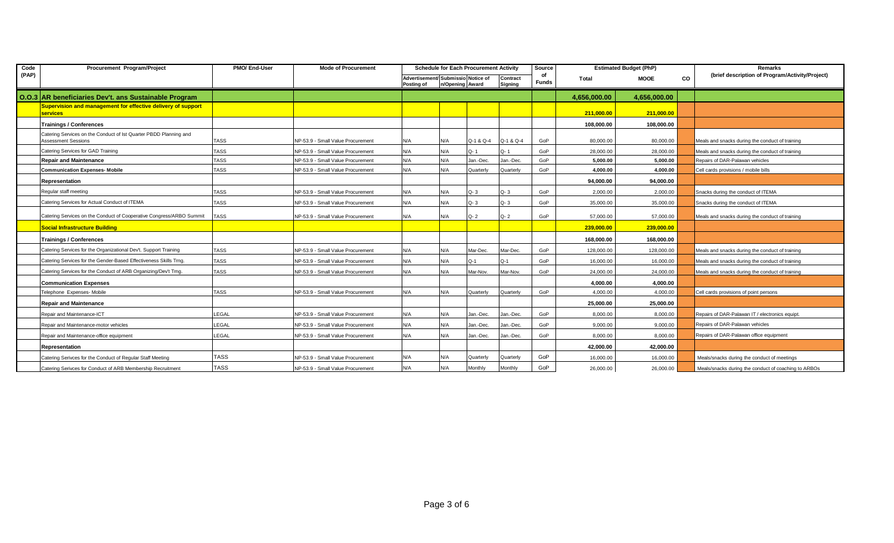| Code  | Procurement Program/Project                                                                     | PMO/ End-User | <b>Mode of Procurement</b>        |                                                  | <b>Schedule for Each Procurement Activity</b> |           | Source              |                    | <b>Estimated Budget (PhP)</b> |                   | Remarks |                                                      |  |
|-------|-------------------------------------------------------------------------------------------------|---------------|-----------------------------------|--------------------------------------------------|-----------------------------------------------|-----------|---------------------|--------------------|-------------------------------|-------------------|---------|------------------------------------------------------|--|
| (PAP) |                                                                                                 |               |                                   | Advertisement/ Submissio Notice of<br>Posting of | n/Opening Award                               |           | Contract<br>Signing | of<br><b>Funds</b> | Total                         | <b>MOOE</b><br>CO |         | (brief description of Program/Activity/Project)      |  |
|       | 0.0.3 AR beneficiaries Dev't. ans Sustainable Program                                           |               |                                   |                                                  |                                               |           |                     |                    | 4,656,000.00                  | 4,656,000.00      |         |                                                      |  |
|       | Supervision and management for effective delivery of support<br><b>services</b>                 |               |                                   |                                                  |                                               |           |                     |                    | 211,000.00                    | 211,000.00        |         |                                                      |  |
|       | <b>Trainings / Conferences</b>                                                                  |               |                                   |                                                  |                                               |           |                     |                    | 108,000.00                    | 108,000.00        |         |                                                      |  |
|       | Catering Services on the Conduct of Ist Quarter PBDD Planning and<br><b>Assessment Sessions</b> | <b>TASS</b>   | NP-53.9 - Small Value Procurement | N/A                                              | N/A                                           | Q-1 & Q-4 | Q-1 & Q-4           | GoP                | 80,000.00                     | 80,000.00         |         | Meals and snacks during the conduct of training      |  |
|       | Catering Services for GAD Training                                                              | <b>TASS</b>   | NP-53.9 - Small Value Procurement | N/A                                              | N/A                                           | Q-1       | Q-1                 | GoP                | 28,000.00                     | 28,000.00         |         | Meals and snacks during the conduct of training      |  |
|       | <b>Repair and Maintenance</b>                                                                   | <b>TASS</b>   | NP-53.9 - Small Value Procurement | N/A                                              | N/A                                           | Jan.-Dec  | Jan.-Dec.           | GoP                | 5.000.00                      | 5,000.00          |         | Repairs of DAR-Palawan vehicles                      |  |
|       | <b>Communication Expenses- Mobile</b>                                                           | <b>TASS</b>   | NP-53.9 - Small Value Procurement | N/A                                              | N/A                                           | Quarterly | Quarterly           | GoP                | 4,000.00                      | 4,000.00          |         | Cell cards provisions / mobile bills                 |  |
|       | Representation                                                                                  |               |                                   |                                                  |                                               |           |                     |                    | 94,000.00                     | 94.000.00         |         |                                                      |  |
|       | Regular staff meeting                                                                           | <b>TASS</b>   | NP-53.9 - Small Value Procurement | N/A                                              | N/A                                           | $Q - 3$   | $Q - 3$             | GoP                | 2.000.00                      | 2.000.00          |         | Snacks during the conduct of ITEMA                   |  |
|       | Catering Services for Actual Conduct of ITEMA                                                   | <b>TASS</b>   | NP-53.9 - Small Value Procurement | N/A                                              | N/A                                           | $Q - 3$   | $Q - 3$             | GoP                | 35,000.00                     | 35,000.00         |         | Snacks during the conduct of ITEMA                   |  |
|       | Catering Services on the Conduct of Cooperative Congress/ARBO Summit                            | <b>TASS</b>   | NP-53.9 - Small Value Procurement | N/A                                              | N/A                                           | $Q - 2$   | $Q - 2$             | GoP                | 57.000.00                     | 57,000.00         |         | Meals and snacks during the conduct of training      |  |
|       | <b>Social Infrastructure Building</b>                                                           |               |                                   |                                                  |                                               |           |                     |                    | 239,000.00                    | 239,000.00        |         |                                                      |  |
|       | <b>Trainings / Conferences</b>                                                                  |               |                                   |                                                  |                                               |           |                     |                    | 168.000.00                    | 168,000,00        |         |                                                      |  |
|       | Catering Services for the Organizational Dev't. Support Training                                | <b>TASS</b>   | NP-53.9 - Small Value Procurement | N/A                                              | N/A                                           | Mar-Dec.  | Mar-Dec.            | GoP                | 128.000.00                    | 128,000.00        |         | Meals and snacks during the conduct of training      |  |
|       | Catering Services for the Gender-Based Effectiveness Skills Trng.                               | <b>TASS</b>   | NP-53.9 - Small Value Procurement | N/A                                              | N/A                                           | $Q-1$     | Q-1                 | GoP                | 16.000.00                     | 16,000.00         |         | Meals and snacks during the conduct of training      |  |
|       | Catering Services for the Conduct of ARB Organizing/Dev't Trng.                                 | <b>TASS</b>   | NP-53.9 - Small Value Procurement | N/A                                              | N/A                                           | Mar-Nov.  | Mar-Nov.            | GoP                | 24,000.00                     | 24,000.00         |         | Meals and snacks during the conduct of training      |  |
|       | <b>Communication Expenses</b>                                                                   |               |                                   |                                                  |                                               |           |                     |                    | 4,000.00                      | 4.000.00          |         |                                                      |  |
|       | Telephone Expenses- Mobile                                                                      | <b>TASS</b>   | NP-53.9 - Small Value Procurement | N/A                                              | N/A                                           | Quarterly | Quarterly           | GoP                | 4.000.00                      | 4.000.00          |         | Cell cards provisions of point persons               |  |
|       | <b>Repair and Maintenance</b>                                                                   |               |                                   |                                                  |                                               |           |                     |                    | 25,000.00                     | 25.000.00         |         |                                                      |  |
|       | Repair and Maintenance-ICT                                                                      | LEGAL         | NP-53.9 - Small Value Procurement | N/A                                              | N/A                                           | Jan.-Dec. | Jan.-Dec.           | GoP                | 8,000.00                      | 8,000.00          |         | Repairs of DAR-Palawan IT / electronics equipt.      |  |
|       | Repair and Maintenance-motor vehicles                                                           | LEGAL         | NP-53.9 - Small Value Procurement | N/A                                              | N/A                                           | Jan.-Dec. | Jan.-Dec.           | GoP                | 9,000.00                      | 9,000.00          |         | Repairs of DAR-Palawan vehicles                      |  |
|       | Repair and Maintenance-office equipment                                                         | LEGAL         | NP-53.9 - Small Value Procurement | N/A                                              | N/A                                           | Jan.-Dec. | Jan.-Dec.           | GoP                | 8.000.00                      | 8.000.00          |         | Repairs of DAR-Palawan office equipment              |  |
|       | Representation                                                                                  |               |                                   |                                                  |                                               |           |                     |                    | 42,000.00                     | 42.000.00         |         |                                                      |  |
|       | Catering Serivces for the Conduct of Regular Staff Meeting                                      | <b>TASS</b>   | NP-53.9 - Small Value Procurement | N/A                                              | N/A                                           | Quarterly | Quarterly           | GoP                | 16,000.00                     | 16,000.00         |         | Meals/snacks during the conduct of meetings          |  |
|       | Catering Serivces for Conduct of ARB Membership Recruitment                                     | <b>TASS</b>   | NP-53.9 - Small Value Procurement | N/A                                              | N/A                                           | Monthly   | Monthly             | GoP                | 26,000.00                     | 26,000.00         |         | Meals/snacks during the conduct of coaching to ARBOs |  |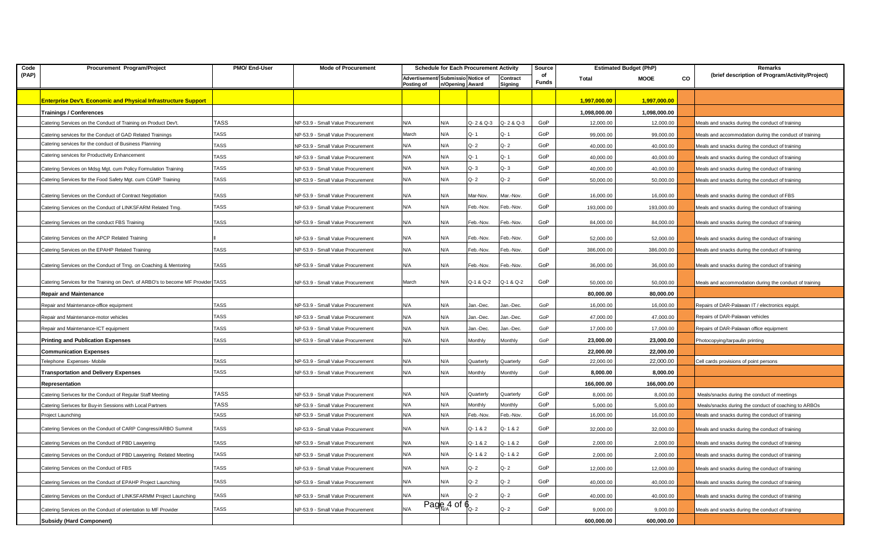| Code  | Procurement Program/Project                                                       | PMO/ End-User | <b>Mode of Procurement</b>        | <b>Schedule for Each Procurement Activity</b>    |                                             | Source    |                     | <b>Estimated Budget (PhP)</b> |              | Remarks      |    |                                                        |
|-------|-----------------------------------------------------------------------------------|---------------|-----------------------------------|--------------------------------------------------|---------------------------------------------|-----------|---------------------|-------------------------------|--------------|--------------|----|--------------------------------------------------------|
| (PAP) |                                                                                   |               |                                   | Advertisement/ Submissio Notice of<br>Posting of | n/Opening Award                             |           | Contract<br>Signing | of<br><b>Funds</b>            | Total        | <b>MOOE</b>  | CO | (brief description of Program/Activity/Project)        |
|       | Enterprise Dev't. Economic and Physical Infrastructure Support                    |               |                                   |                                                  |                                             |           |                     |                               | 1,997,000.00 | 1,997,000.00 |    |                                                        |
|       | <b>Trainings / Conferences</b>                                                    |               |                                   |                                                  |                                             |           |                     |                               | 1,098,000.00 | 1,098,000.00 |    |                                                        |
|       | Catering Services on the Conduct of Training on Product Dev't.                    | TASS          | NP-53.9 - Small Value Procurement | N/A                                              | N/A                                         | Q-2 & Q-3 | Q-2 & Q-3           | GoP                           | 12,000.00    | 12,000.00    |    | Meals and snacks during the conduct of training        |
|       | Catering services for the Conduct of GAD Related Trainings                        | <b>TASS</b>   | NP-53.9 - Small Value Procurement | March                                            | N/A                                         | Q-1       | $Q - 1$             | GoP                           | 99,000.00    | 99,000.00    |    | Meals and accommodation during the conduct of training |
|       | Catering services for the conduct of Business Planning                            | TASS          | NP-53.9 - Small Value Procurement | N/A                                              | N/A                                         | Q- 2      | $Q - 2$             | GoP                           | 40,000.00    | 40,000.00    |    | Meals and snacks during the conduct of training        |
|       | Catering services for Productivity Enhancement                                    | TASS          | NP-53.9 - Small Value Procurement | N/A                                              | N/A                                         | Q-1       | Q-1                 | GoP                           | 40,000.00    | 40,000.00    |    | Meals and snacks during the conduct of training        |
|       | Catering Services on Mdsg Mgt. cum Policy Formulation Training                    | <b>TASS</b>   | NP-53.9 - Small Value Procurement | N/A                                              | N/A                                         | Q-3       | $Q - 3$             | GoP                           | 40,000.00    | 40,000.00    |    | Meals and snacks during the conduct of training        |
|       | Catering Services for the Food Safety Mgt. cum CGMP Training                      | <b>TASS</b>   | NP-53.9 - Small Value Procurement | N/A                                              | N/A                                         | Q- 2      | $Q - 2$             | GoP                           | 50,000.00    | 50,000.00    |    | Meals and snacks during the conduct of training        |
|       | Catering Services on the Conduct of Contract Negotiation                          | TASS          | NP-53.9 - Small Value Procurement | N/A                                              | N/A                                         | Mar-Nov.  | Mar.-Nov.           | GoP                           | 16,000.00    | 16,000.00    |    | Meals and snacks during the conduct of FBS             |
|       | Catering Services on the Conduct of LINKSFARM Related Trng.                       | <b>TASS</b>   | NP-53.9 - Small Value Procurement | N/A                                              | N/A                                         | Feb.-Nov. | Feb.-Nov.           | GoP                           | 193,000.00   | 193,000.00   |    | Meals and snacks during the conduct of training        |
|       | Catering Services on the conduct FBS Training                                     | TASS          | NP-53.9 - Small Value Procurement | N/A                                              | N/A                                         | Feb.-Nov. | Feb.-Nov.           | GoP                           | 84,000.00    | 84,000.00    |    | Meals and snacks during the conduct of training        |
|       |                                                                                   |               |                                   |                                                  |                                             |           |                     |                               |              |              |    |                                                        |
|       | Catering Services on the APCP Related Training                                    |               | NP-53.9 - Small Value Procurement | N/A                                              | N/A                                         | Feb.-Nov. | Feb.-Nov.           | GoP                           | 52,000.00    | 52,000.00    |    | Meals and snacks during the conduct of training        |
|       | Catering Services on the EPAHP Related Training                                   | <b>TASS</b>   | NP-53.9 - Small Value Procurement | N/A                                              | N/A                                         | Feb.-Nov. | Feb.-Nov.           | GoP                           | 386,000.00   | 386,000.00   |    | Meals and snacks during the conduct of training        |
|       | Catering Services on the Conduct of Trng. on Coaching & Mentoring                 | TASS          | NP-53.9 - Small Value Procurement | N/A                                              | N/A                                         | Feb.-Nov. | Feb.-Nov.           | GoP                           | 36,000.00    | 36,000.00    |    | Meals and snacks during the conduct of training        |
|       | Catering Services for the Training on Dev't. of ARBO's to become MF Provider TASS |               | NP-53.9 - Small Value Procurement | March                                            | N/A                                         | Q-1 & Q-2 | Q-1 & Q-2           | GoP                           | 50,000.00    | 50,000.00    |    | Meals and accommodation during the conduct of training |
|       | Repair and Maintenance                                                            |               |                                   |                                                  |                                             |           |                     |                               | 80,000.00    | 80,000.00    |    |                                                        |
|       | Repair and Maintenance-office equipment                                           | TASS          | NP-53.9 - Small Value Procurement | N/A                                              | N/A                                         | lan.-Dec. | Jan.-Dec.           | GoP                           | 16,000.00    | 16,000.00    |    | Repairs of DAR-Palawan IT / electronics equipt.        |
|       | Repair and Maintenance-motor vehicles                                             | TASS          | NP-53.9 - Small Value Procurement | N/A                                              | N/A                                         | lan.-Dec. | Jan.-Dec.           | GoP                           | 47,000.00    | 47,000.00    |    | Repairs of DAR-Palawan vehicles                        |
|       | Repair and Maintenance-ICT equipment                                              | <b>TASS</b>   | NP-53.9 - Small Value Procurement | N/A                                              | N/A                                         | lan.-Dec. | Jan.-Dec.           | GoP                           | 17,000.00    | 17,000.00    |    | Repairs of DAR-Palawan office equipment                |
|       | <b>Printing and Publication Expenses</b>                                          | <b>TASS</b>   | NP-53.9 - Small Value Procurement | N/A                                              | N/A                                         | Monthly   | Monthly             | GoP                           | 23,000.00    | 23,000.00    |    | Photocopying/tarpaulin printing                        |
|       | <b>Communication Expenses</b>                                                     |               |                                   |                                                  |                                             |           |                     |                               | 22,000.00    | 22,000.00    |    |                                                        |
|       | Telephone Expenses-Mobile                                                         | <b>TASS</b>   | NP-53.9 - Small Value Procurement | N/A                                              | N/A                                         | Quarterly | Quarterly           | GoP                           | 22,000.00    | 22,000.00    |    | Cell cards provisions of point persons                 |
|       | <b>Transportation and Delivery Expenses</b>                                       | <b>TASS</b>   | VP-53.9 - Small Value Procurement | N/A                                              | N/A                                         | Monthly   | Monthly             | GoP                           | 8,000.00     | 8,000.00     |    |                                                        |
|       | Representation                                                                    |               |                                   |                                                  |                                             |           |                     |                               | 166,000.00   | 166,000.00   |    |                                                        |
|       | Catering Serivces for the Conduct of Regular Staff Meeting                        | <b>TASS</b>   | NP-53.9 - Small Value Procurement | N/A                                              | N/A                                         | Quarterly | Quarterly           | GoP                           | 8.000.00     | 8,000.00     |    | Meals/snacks during the conduct of meetings            |
|       | Catering Serivces for Buy-in Sessions with Local Partners                         | <b>TASS</b>   | NP-53.9 - Small Value Procurement | N/A                                              | N/A                                         | Monthly   | Monthly             | GoP                           | 5,000.00     | 5,000.00     |    | Meals/snacks during the conduct of coaching to ARBOs   |
|       | Project Launching                                                                 | TASS          | NP-53.9 - Small Value Procurement | N/A                                              | N/A                                         | Feb.-Nov. | Feb.-Nov.           | GoP                           | 16,000.00    | 16,000.00    |    | Meals and snacks during the conduct of training        |
|       | Catering Services on the Conduct of CARP Congress/ARBO Summit                     | TASS          | NP-53.9 - Small Value Procurement | N/A                                              | N/A                                         | Q-1&2     | Q-1&2               | GoP                           | 32,000.00    | 32,000.00    |    | Meals and snacks during the conduct of training        |
|       | Catering Services on the Conduct of PBD Lawyering                                 | TASS          | NP-53.9 - Small Value Procurement | N/A                                              | N/A                                         | Q-1&2     | Q-1&2               | GoP                           | 2,000.00     | 2,000.00     |    | Meals and snacks during the conduct of training        |
|       | Catering Services on the Conduct of PBD Lawyering Related Meeting                 | TASS          | NP-53.9 - Small Value Procurement | N/A                                              | N/A                                         | Q-1&2     | Q-1&2               | GoP                           | 2,000.00     | 2,000.00     |    | Meals and snacks during the conduct of training        |
|       | Catering Services on the Conduct of FBS                                           | <b>TASS</b>   | NP-53.9 - Small Value Procurement | N/A                                              | N/A                                         | Q- 2      | $Q - 2$             | GoP                           | 12,000.00    | 12,000.00    |    | Meals and snacks during the conduct of training        |
|       | Catering Services on the Conduct of EPAHP Project Launching                       | TASS          | NP-53.9 - Small Value Procurement | N/A                                              | N/A                                         | Q- 2      | $Q - 2$             | GoP                           | 40,000.00    | 40,000.00    |    | Meals and snacks during the conduct of training        |
|       | Catering Services on the Conduct of LINKSFARMM Project Launching                  | <b>TASS</b>   | NP-53.9 - Small Value Procurement | N/A                                              |                                             | O- 2      | Q- 2                | GoP                           | 40,000.00    | 40,000.00    |    | Meals and snacks during the conduct of training        |
|       | Catering Services on the Conduct of orientation to MF Provider                    | TASS          | NP-53.9 - Small Value Procurement | N/A                                              | $\overline{\text{Page}}$ 4 of $\oint_{Q_2}$ |           | $Q - 2$             | GoP                           | 9,000.00     | 9,000.00     |    | Meals and snacks during the conduct of training        |
|       | <b>Subsidy (Hard Component)</b>                                                   |               |                                   |                                                  |                                             |           |                     |                               | 600,000.00   | 600,000.00   |    |                                                        |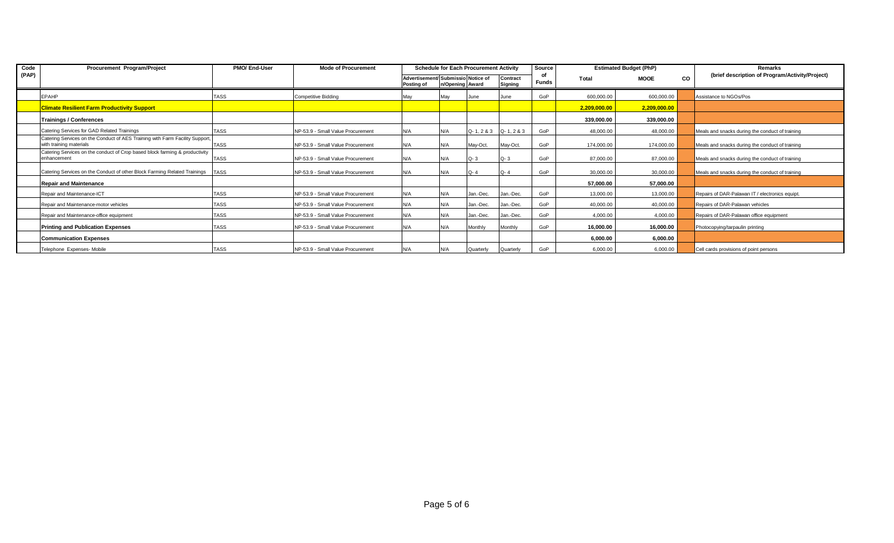| Code  | Procurement Program/Project                                                                             | PMO/ End-User | <b>Mode of Procurement</b>        | <b>Schedule for Each Procurement Activity</b>    |                 | Source                        |                     | <b>Estimated Budget (PhP)</b> |              | Remarks      |           |                                                 |
|-------|---------------------------------------------------------------------------------------------------------|---------------|-----------------------------------|--------------------------------------------------|-----------------|-------------------------------|---------------------|-------------------------------|--------------|--------------|-----------|-------------------------------------------------|
| (PAP) |                                                                                                         |               |                                   | Advertisement/ Submissio Notice of<br>Posting of | n/Opening Award |                               | Contract<br>Signing | <b>Funds</b>                  | Total        | <b>MOOE</b>  | <b>CO</b> | (brief description of Program/Activity/Project) |
|       | <b>EPAHP</b>                                                                                            | <b>TASS</b>   | Competitive Bidding               | Mav                                              | Mav             | June                          | June                | GoP                           | 600,000.00   | 600,000.00   |           | Assistance to NGOs/Pos                          |
|       | <b>Climate Resilient Farm Productivity Support</b>                                                      |               |                                   |                                                  |                 |                               |                     |                               | 2,209,000.00 | 2,209,000.00 |           |                                                 |
|       | <b>Trainings / Conferences</b>                                                                          |               |                                   |                                                  |                 |                               |                     |                               | 339,000.00   | 339,000.00   |           |                                                 |
|       | Catering Services for GAD Related Trainings                                                             | <b>TASS</b>   | NP-53.9 - Small Value Procurement | N/A                                              | N/A             | $Q - 1, 2 & 3$ $Q - 1, 2 & 3$ |                     | GoP                           | 48,000.00    | 48,000.00    |           | Meals and snacks during the conduct of training |
|       | Catering Services on the Conduct of AES Training with Farm Facility Support,<br>with training materials | <b>TASS</b>   | NP-53.9 - Small Value Procurement | N/A                                              | N/A             | May-Oct.                      | May-Oct.            | GoP                           | 174,000.00   | 174,000.00   |           | Meals and snacks during the conduct of training |
|       | Catering Services on the conduct of Crop based block farming & productivity<br>enhancement              | <b>TASS</b>   | NP-53.9 - Small Value Procurement | N/A                                              | N/A             | $Q - 3$                       | $Q - 3$             | GoP                           | 87,000.00    | 87,000.00    |           | Meals and snacks during the conduct of training |
|       | Catering Services on the Conduct of other Block Farming Related Trainings                               | <b>TASS</b>   | NP-53.9 - Small Value Procurement | N/A                                              | N/A             | $Q - 4$                       | $Q - 4$             | GoP                           | 30,000.00    | 30,000.00    |           | Meals and snacks during the conduct of training |
|       | <b>Repair and Maintenance</b>                                                                           |               |                                   |                                                  |                 |                               |                     |                               | 57,000.00    | 57,000.00    |           |                                                 |
|       | Repair and Maintenance-ICT                                                                              | <b>TASS</b>   | NP-53.9 - Small Value Procurement | N/A                                              | N/A             | Jan.-Dec.                     | Jan.-Dec.           | GoP                           | 13,000.00    | 13,000.00    |           | Repairs of DAR-Palawan IT / electronics equipt. |
|       | Repair and Maintenance-motor vehicles                                                                   | <b>TASS</b>   | NP-53.9 - Small Value Procurement | N/A                                              | N/A             | Jan.-Dec.                     | Jan.-Dec.           | GoP                           | 40,000.00    | 40,000.00    |           | Repairs of DAR-Palawan vehicles                 |
|       | Repair and Maintenance-office equipment                                                                 | <b>TASS</b>   | NP-53.9 - Small Value Procurement | N/A                                              | N/A             | Jan.-Dec.                     | Jan.-Dec.           | GoP                           | 4,000.00     | 4,000.00     |           | Repairs of DAR-Palawan office equipment         |
|       | <b>Printing and Publication Expenses</b>                                                                | <b>TASS</b>   | NP-53.9 - Small Value Procurement | N/A                                              | N/A             | Monthly                       | Monthly             | GoP                           | 16,000.00    | 16,000.00    |           | Photocopying/tarpaulin printing                 |
|       | <b>Communication Expenses</b>                                                                           |               |                                   |                                                  |                 |                               |                     |                               | 6,000.00     | 6,000.00     |           |                                                 |
|       | Telephone Expenses- Mobile                                                                              | <b>TASS</b>   | NP-53.9 - Small Value Procurement | N/A                                              | N/A             | Quarterly                     | Quarterly           | GoP                           | 6,000.00     | 6,000.00     |           | Cell cards provisions of point persons          |